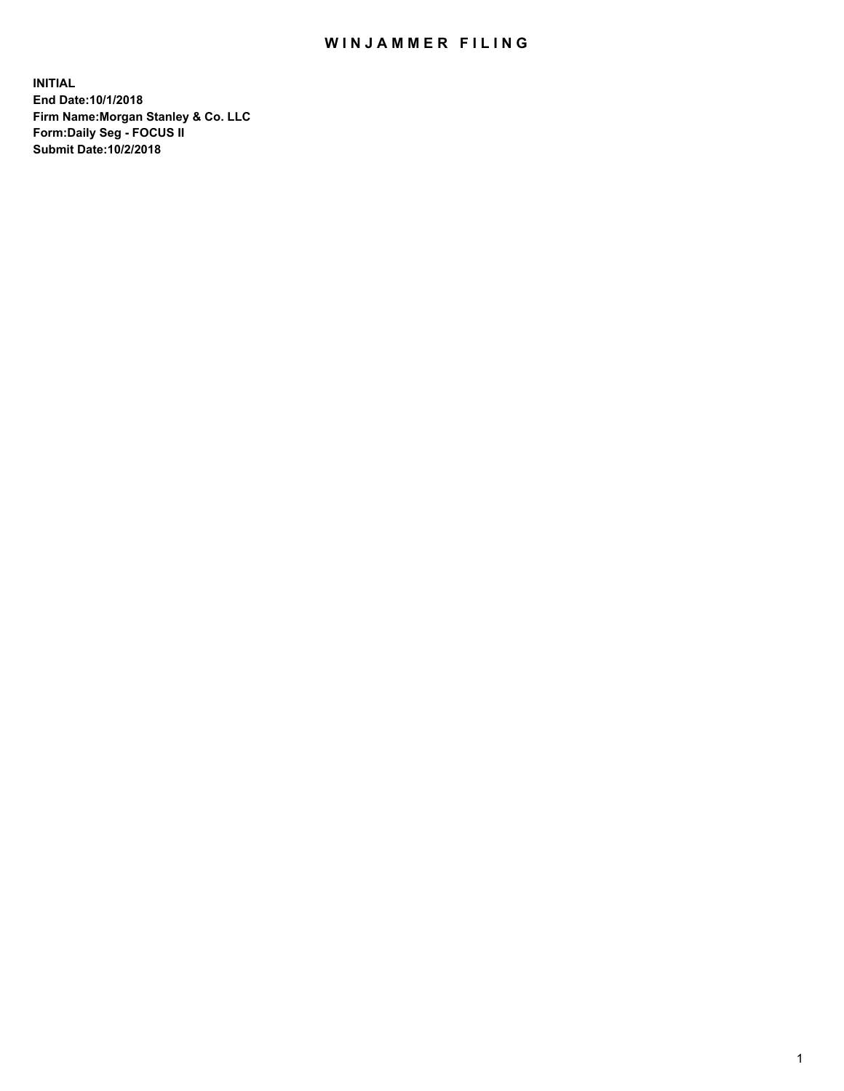## WIN JAMMER FILING

**INITIAL End Date:10/1/2018 Firm Name:Morgan Stanley & Co. LLC Form:Daily Seg - FOCUS II Submit Date:10/2/2018**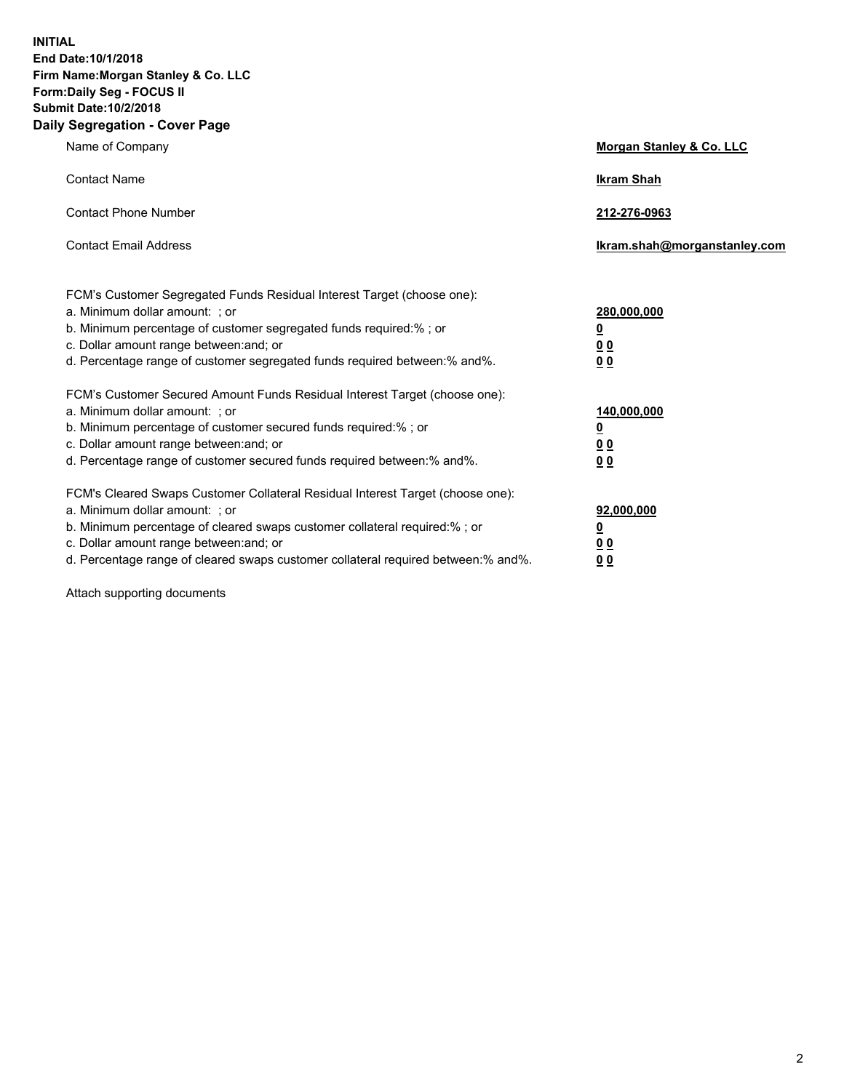**INITIAL End Date:10/1/2018 Firm Name:Morgan Stanley & Co. LLC Form:Daily Seg - FOCUS II Submit Date:10/2/2018 Daily Segregation - Cover Page**

| Name of Company                                                                                                                                                                                                                                                                                                                | Morgan Stanley & Co. LLC                                    |
|--------------------------------------------------------------------------------------------------------------------------------------------------------------------------------------------------------------------------------------------------------------------------------------------------------------------------------|-------------------------------------------------------------|
| <b>Contact Name</b>                                                                                                                                                                                                                                                                                                            | <b>Ikram Shah</b>                                           |
| <b>Contact Phone Number</b>                                                                                                                                                                                                                                                                                                    | 212-276-0963                                                |
| <b>Contact Email Address</b>                                                                                                                                                                                                                                                                                                   | lkram.shah@morganstanley.com                                |
| FCM's Customer Segregated Funds Residual Interest Target (choose one):<br>a. Minimum dollar amount: ; or<br>b. Minimum percentage of customer segregated funds required:% ; or<br>c. Dollar amount range between: and; or<br>d. Percentage range of customer segregated funds required between: % and %.                       | 280,000,000<br><u>0</u><br>00<br>0 <sub>0</sub>             |
| FCM's Customer Secured Amount Funds Residual Interest Target (choose one):<br>a. Minimum dollar amount: ; or<br>b. Minimum percentage of customer secured funds required:% ; or<br>c. Dollar amount range between: and; or<br>d. Percentage range of customer secured funds required between:% and%.                           | 140,000,000<br><u>0</u><br>0 <sub>0</sub><br>0 <sub>0</sub> |
| FCM's Cleared Swaps Customer Collateral Residual Interest Target (choose one):<br>a. Minimum dollar amount: ; or<br>b. Minimum percentage of cleared swaps customer collateral required:% ; or<br>c. Dollar amount range between: and; or<br>d. Percentage range of cleared swaps customer collateral required between:% and%. | 92,000,000<br><u>0</u><br><u>00</u><br>0 <sup>0</sup>       |

Attach supporting documents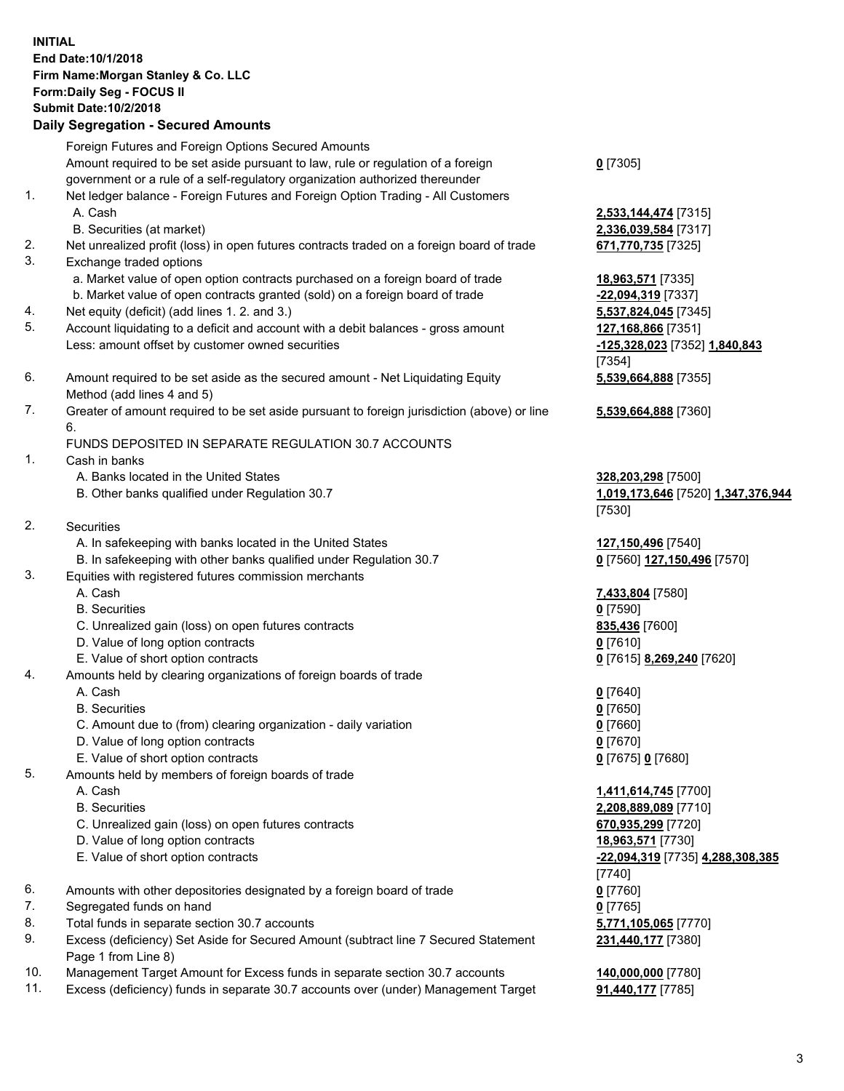## **INITIAL End Date:10/1/2018 Firm Name:Morgan Stanley & Co. LLC Form:Daily Seg - FOCUS II Submit Date:10/2/2018 Daily Segregation - Secured Amounts**

Foreign Futures and Foreign Options Secured Amounts Amount required to be set aside pursuant to law, rule or regulation of a foreign government or a rule of a self-regulatory organization authorized thereunder 1. Net ledger balance - Foreign Futures and Foreign Option Trading - All Customers A. Cash **2,533,144,474** [7315] B. Securities (at market) **2,336,039,584** [7317] 2. Net unrealized profit (loss) in open futures contracts traded on a foreign board of trade **671,770,735** [7325] 3. Exchange traded options a. Market value of open option contracts purchased on a foreign board of trade **18,963,571** [7335] b. Market value of open contracts granted (sold) on a foreign board of trade **-22,094,319** [7337] 4. Net equity (deficit) (add lines 1. 2. and 3.) **5,537,824,045** [7345] 5. Account liquidating to a deficit and account with a debit balances - gross amount **127,168,866** [7351]

- 6. Amount required to be set aside as the secured amount Net Liquidating Equity Method (add lines 4 and 5)
- 7. Greater of amount required to be set aside pursuant to foreign jurisdiction (above) or line 6.

## FUNDS DEPOSITED IN SEPARATE REGULATION 30.7 ACCOUNTS

- 1. Cash in banks
	- A. Banks located in the United States **328,203,298** [7500]
	- B. Other banks qualified under Regulation 30.7 **1,019,173,646** [7520] **1,347,376,944**
- 2. Securities
	- A. In safekeeping with banks located in the United States **127,150,496** [7540]
	- B. In safekeeping with other banks qualified under Regulation 30.7 **0** [7560] **127,150,496** [7570]
- 3. Equities with registered futures commission merchants
	-
	- B. Securities **0** [7590]
	- C. Unrealized gain (loss) on open futures contracts **835,436** [7600]
	- D. Value of long option contracts **0** [7610]
	- E. Value of short option contracts **0** [7615] **8,269,240** [7620]
- 4. Amounts held by clearing organizations of foreign boards of trade
	- A. Cash **0** [7640]
	- B. Securities **0** [7650]
	- C. Amount due to (from) clearing organization daily variation **0** [7660]
	- D. Value of long option contracts **0** [7670]
	- E. Value of short option contracts **0** [7675] **0** [7680]
- 5. Amounts held by members of foreign boards of trade
	-
	-
	- C. Unrealized gain (loss) on open futures contracts **670,935,299** [7720]
	- D. Value of long option contracts **18,963,571** [7730]
	- E. Value of short option contracts **-22,094,319** [7735] **4,288,308,385**
- 6. Amounts with other depositories designated by a foreign board of trade **0** [7760]
- 7. Segregated funds on hand **0** [7765]
- 8. Total funds in separate section 30.7 accounts **5,771,105,065** [7770]
- 9. Excess (deficiency) Set Aside for Secured Amount (subtract line 7 Secured Statement Page 1 from Line 8)
- 10. Management Target Amount for Excess funds in separate section 30.7 accounts **140,000,000** [7780]
- 11. Excess (deficiency) funds in separate 30.7 accounts over (under) Management Target **91,440,177** [7785]

**0** [7305]

Less: amount offset by customer owned securities **-125,328,023** [7352] **1,840,843** [7354] **5,539,664,888** [7355]

**5,539,664,888** [7360]

[7530]

A. Cash **7,433,804** [7580]

 A. Cash **1,411,614,745** [7700] B. Securities **2,208,889,089** [7710] [7740] **231,440,177** [7380]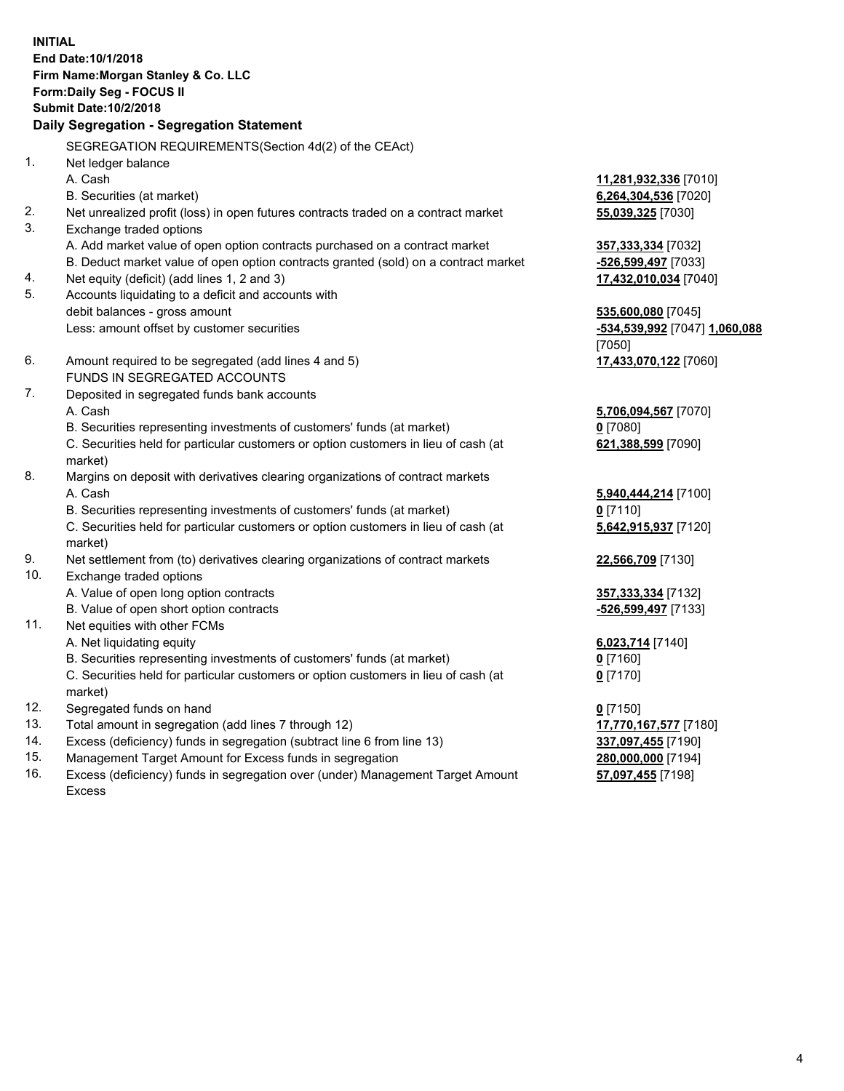**INITIAL End Date:10/1/2018 Firm Name:Morgan Stanley & Co. LLC Form:Daily Seg - FOCUS II Submit Date:10/2/2018 Daily Segregation - Segregation Statement** SEGREGATION REQUIREMENTS(Section 4d(2) of the CEAct) 1. Net ledger balance A. Cash **11,281,932,336** [7010] B. Securities (at market) **6,264,304,536** [7020] 2. Net unrealized profit (loss) in open futures contracts traded on a contract market **55,039,325** [7030] 3. Exchange traded options A. Add market value of open option contracts purchased on a contract market **357,333,334** [7032] B. Deduct market value of open option contracts granted (sold) on a contract market **-526,599,497** [7033] 4. Net equity (deficit) (add lines 1, 2 and 3) **17,432,010,034** [7040] 5. Accounts liquidating to a deficit and accounts with debit balances - gross amount **535,600,080** [7045] Less: amount offset by customer securities **-534,539,992** [7047] **1,060,088** [7050] 6. Amount required to be segregated (add lines 4 and 5) **17,433,070,122** [7060] FUNDS IN SEGREGATED ACCOUNTS 7. Deposited in segregated funds bank accounts A. Cash **5,706,094,567** [7070] B. Securities representing investments of customers' funds (at market) **0** [7080] C. Securities held for particular customers or option customers in lieu of cash (at market) **621,388,599** [7090] 8. Margins on deposit with derivatives clearing organizations of contract markets A. Cash **5,940,444,214** [7100] B. Securities representing investments of customers' funds (at market) **0** [7110] C. Securities held for particular customers or option customers in lieu of cash (at market) **5,642,915,937** [7120] 9. Net settlement from (to) derivatives clearing organizations of contract markets **22,566,709** [7130] 10. Exchange traded options A. Value of open long option contracts **357,333,334** [7132] B. Value of open short option contracts **and the set of our original state of the set of open** short option contracts 11. Net equities with other FCMs A. Net liquidating equity **6,023,714** [7140] B. Securities representing investments of customers' funds (at market) **0** [7160] C. Securities held for particular customers or option customers in lieu of cash (at market) **0** [7170] 12. Segregated funds on hand **0** [7150] 13. Total amount in segregation (add lines 7 through 12) **17,770,167,577** [7180] 14. Excess (deficiency) funds in segregation (subtract line 6 from line 13) **337,097,455** [7190]

- 15. Management Target Amount for Excess funds in segregation **280,000,000** [7194]
- 16. Excess (deficiency) funds in segregation over (under) Management Target Amount Excess

**57,097,455** [7198]